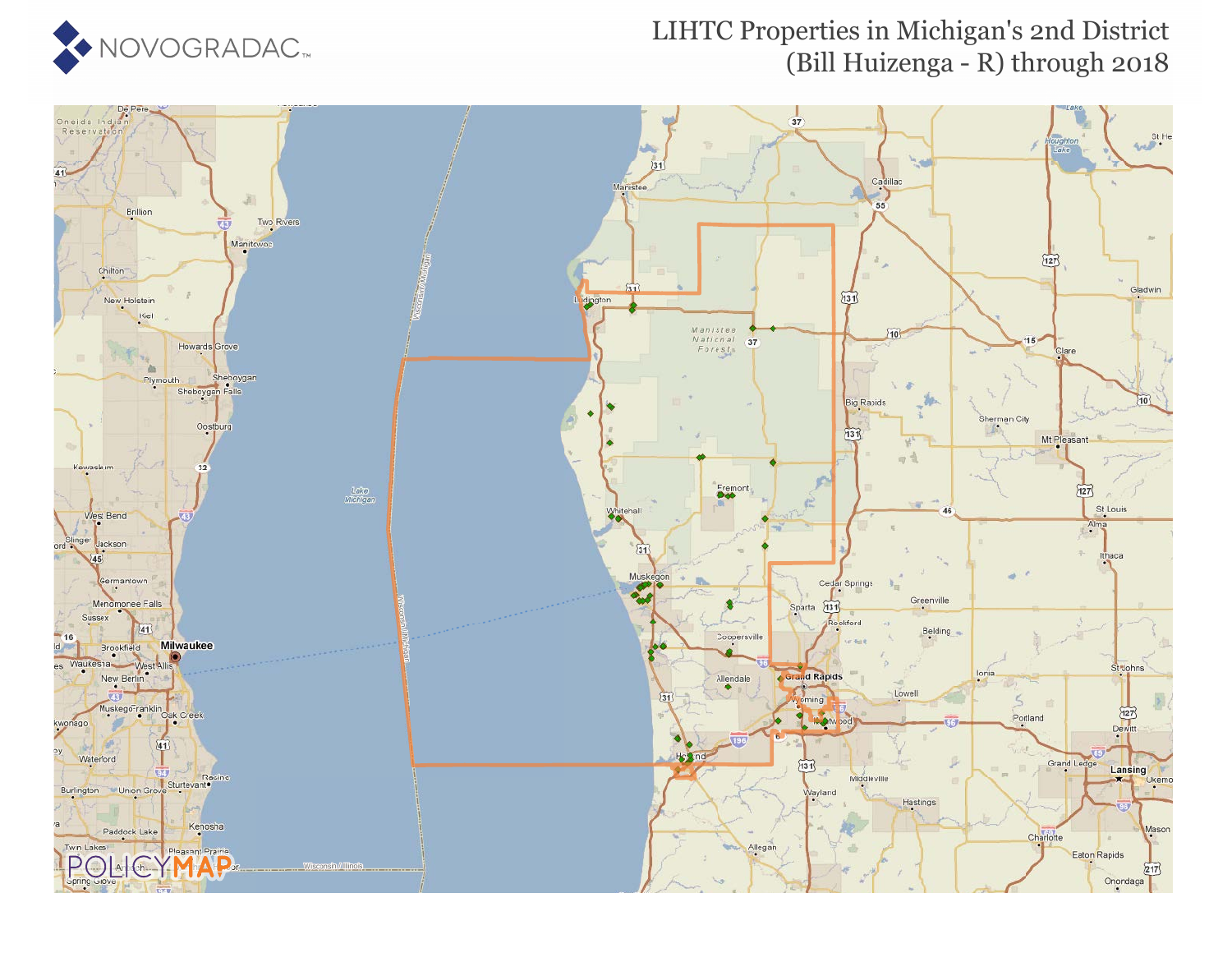

#### LIHTC Properties in Michigan's 2nd District (Bill Huizenga - R) through 2018

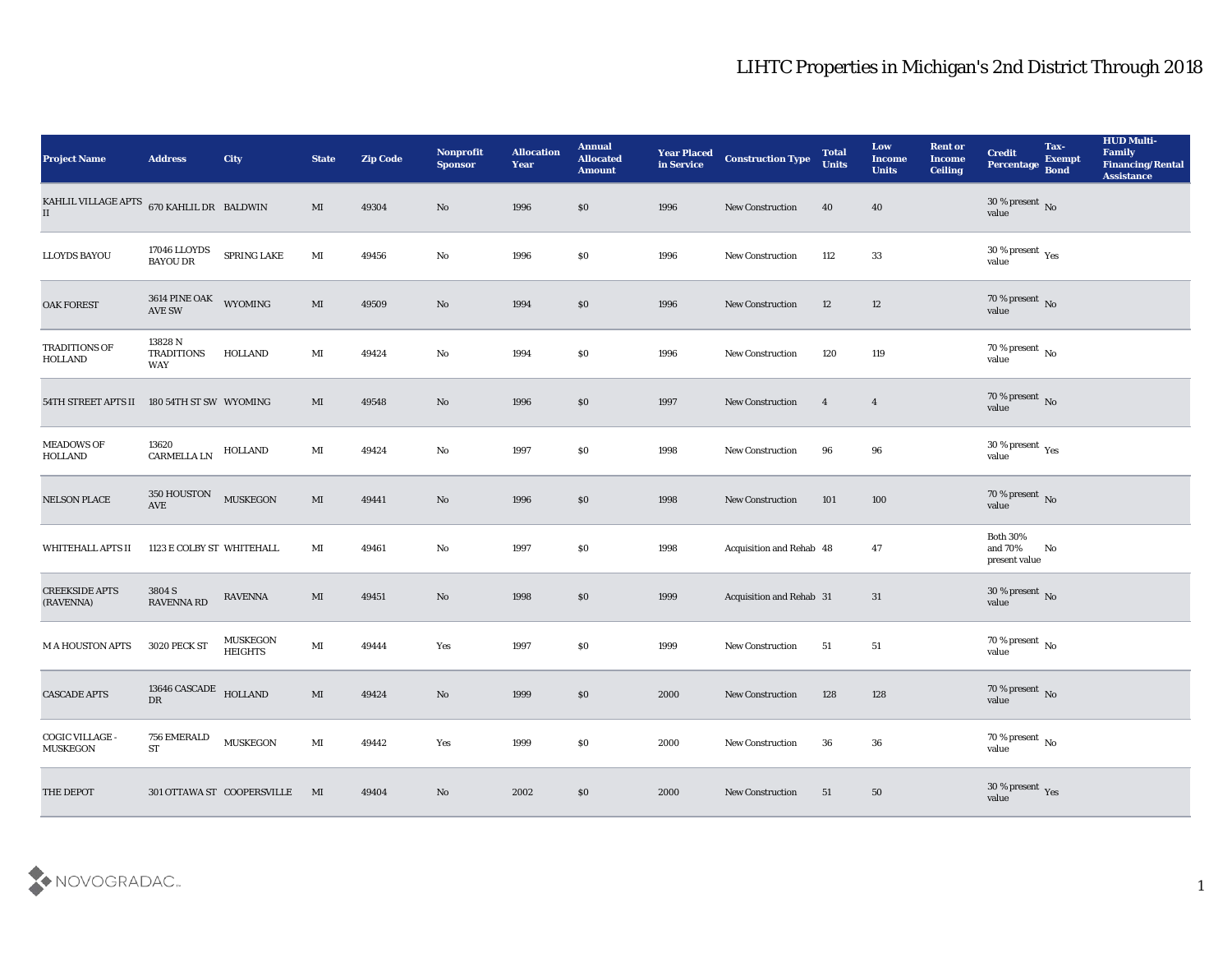| <b>Project Name</b>                               | <b>Address</b>                                        | City                              | <b>State</b>           | <b>Zip Code</b> | Nonprofit<br><b>Sponsor</b> | <b>Allocation</b><br><b>Year</b> | <b>Annual</b><br><b>Allocated</b><br><b>Amount</b> | <b>Year Placed</b><br>in Service | <b>Construction Type</b>        | <b>Total</b><br><b>Units</b> | Low<br>Income<br><b>Units</b> | <b>Rent or</b><br><b>Income</b><br><b>Ceiling</b> | <b>Credit</b><br>Percentage                 | Tax-<br><b>Exempt</b><br><b>Bond</b> | <b>HUD Multi-</b><br>Family<br><b>Financing/Rental</b><br><b>Assistance</b> |
|---------------------------------------------------|-------------------------------------------------------|-----------------------------------|------------------------|-----------------|-----------------------------|----------------------------------|----------------------------------------------------|----------------------------------|---------------------------------|------------------------------|-------------------------------|---------------------------------------------------|---------------------------------------------|--------------------------------------|-----------------------------------------------------------------------------|
| KAHLIL VILLAGE APTS $670$ KAHLIL DR BALDWIN<br>II |                                                       |                                   | MI                     | 49304           | No                          | 1996                             | \$0                                                | 1996                             | <b>New Construction</b>         | 40                           | 40                            |                                                   | $30\,\%$ present $\,$ No value              |                                      |                                                                             |
| <b>LLOYDS BAYOU</b>                               | 17046 LLOYDS<br><b>BAYOU DR</b>                       | SPRING LAKE                       | MI                     | 49456           | No                          | 1996                             | \$0                                                | 1996                             | <b>New Construction</b>         | 112                          | 33                            |                                                   | $30\,\%$ present $\,$ Yes value             |                                      |                                                                             |
| OAK FOREST                                        | 3614 PINE OAK<br>AVE SW                               | WYOMING                           | $\mathbf{M}$           | 49509           | No                          | 1994                             | \$0                                                | 1996                             | New Construction                | 12                           | 12                            |                                                   | $70\,\%$ present $\,$ No value              |                                      |                                                                             |
| TRADITIONS OF<br><b>HOLLAND</b>                   | 13828 N<br><b>TRADITIONS</b><br>WAY                   | HOLLAND                           | MI                     | 49424           | No                          | 1994                             | \$0                                                | 1996                             | <b>New Construction</b>         | 120                          | 119                           |                                                   | $70\,\%$ present $\,$ No value              |                                      |                                                                             |
| 54TH STREET APTS II                               | 180 54TH ST SW WYOMING                                |                                   | MI                     | 49548           | No                          | 1996                             | \$0                                                | 1997                             | New Construction                | $\overline{\mathbf{4}}$      | $\overline{4}$                |                                                   | $70\,\%$ present $\,$ No value              |                                      |                                                                             |
| <b>MEADOWS OF</b><br>HOLLAND                      | 13620<br>CARMELLA LN                                  | HOLLAND                           | MI                     | 49424           | No                          | 1997                             | \$0                                                | 1998                             | <b>New Construction</b>         | 96                           | 96                            |                                                   | $30\,\%$ present $\,$ Yes value             |                                      |                                                                             |
| <b>NELSON PLACE</b>                               | $350 \, \mathrm{HOUSTON}$ $$\,\mathrm{MUSKEGON}$$ AVE |                                   | $\mathbf{M}$           | 49441           | No                          | 1996                             | \$0                                                | 1998                             | <b>New Construction</b>         | 101                          | 100                           |                                                   | $70\,\%$ present $\,$ No value              |                                      |                                                                             |
| WHITEHALL APTS II                                 | 1123 E COLBY ST WHITEHALL                             |                                   | MI                     | 49461           | No                          | 1997                             | \$0                                                | 1998                             | Acquisition and Rehab 48        |                              | 47                            |                                                   | <b>Both 30%</b><br>and 70%<br>present value | No                                   |                                                                             |
| <b>CREEKSIDE APTS</b><br>(RAVENNA)                | 3804 S<br><b>RAVENNA RD</b>                           | <b>RAVENNA</b>                    | MI                     | 49451           | No                          | 1998                             | \$0                                                | 1999                             | <b>Acquisition and Rehab 31</b> |                              | 31                            |                                                   | $30\,\%$ present $\,$ No $\,$ value         |                                      |                                                                             |
| <b>MAHOUSTON APTS</b>                             | 3020 PECK ST                                          | <b>MUSKEGON</b><br><b>HEIGHTS</b> | MI                     | 49444           | Yes                         | 1997                             | \$0                                                | 1999                             | <b>New Construction</b>         | 51                           | 51                            |                                                   | $70\,\%$ present $\,$ No value              |                                      |                                                                             |
| <b>CASCADE APTS</b>                               | 13646 CASCADE HOLLAND<br>DR                           |                                   | MI                     | 49424           | No                          | 1999                             | \$0                                                | 2000                             | <b>New Construction</b>         | 128                          | 128                           |                                                   | 70 % present No<br>value                    |                                      |                                                                             |
| COGIC VILLAGE -<br><b>MUSKEGON</b>                | 756 EMERALD<br>${\cal S}{\cal T}$                     | <b>MUSKEGON</b>                   | $\mathbf{M}\mathbf{I}$ | 49442           | Yes                         | 1999                             | \$0                                                | 2000                             | New Construction                | 36                           | ${\bf 36}$                    |                                                   | 70 % present $\,$ No $\,$<br>value          |                                      |                                                                             |
| THE DEPOT                                         |                                                       | 301 OTTAWA ST COOPERSVILLE        | MI                     | 49404           | $\rm\thinspace No$          | 2002                             | $\$0$                                              | 2000                             | New Construction                | 51                           | 50                            |                                                   | $30\,\%$ present $\,$ Yes value             |                                      |                                                                             |

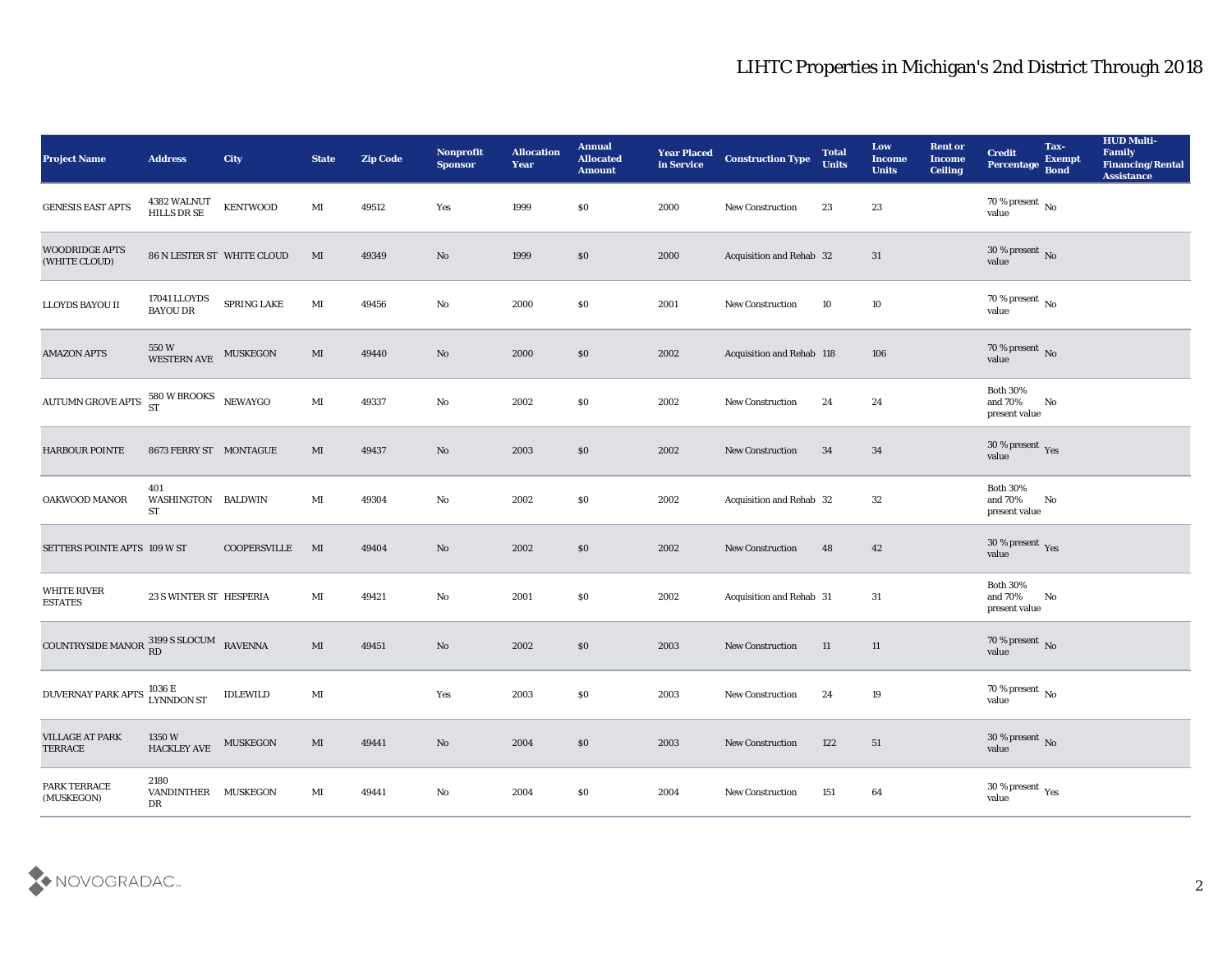| Project Name                                                  | <b>Address</b>                    | City                       | <b>State</b>   | <b>Zip Code</b> | Nonprofit<br><b>Sponsor</b> | <b>Allocation</b><br><b>Year</b> | <b>Annual</b><br><b>Allocated</b><br><b>Amount</b> | <b>Year Placed</b><br>in Service | <b>Construction Type</b>  | <b>Total</b><br><b>Units</b> | Low<br><b>Income</b><br><b>Units</b> | <b>Rent or</b><br><b>Income</b><br><b>Ceiling</b> | <b>Credit</b><br><b>Percentage</b>          | Tax-<br><b>Exempt</b><br><b>Bond</b> | <b>HUD Multi-</b><br>Family<br><b>Financing/Rental</b><br><b>Assistance</b> |
|---------------------------------------------------------------|-----------------------------------|----------------------------|----------------|-----------------|-----------------------------|----------------------------------|----------------------------------------------------|----------------------------------|---------------------------|------------------------------|--------------------------------------|---------------------------------------------------|---------------------------------------------|--------------------------------------|-----------------------------------------------------------------------------|
| <b>GENESIS EAST APTS</b>                                      | 4382 WALNUT<br>HILLS DR SE        | <b>KENTWOOD</b>            | $\mathbf{M}$ I | 49512           | Yes                         | 1999                             | $\$0$                                              | 2000                             | New Construction          | 23                           | 23                                   |                                                   | $70\,\%$ present $\,$ No $\,$<br>value      |                                      |                                                                             |
| <b>WOODRIDGE APTS</b><br>(WHITE CLOUD)                        |                                   | 86 N LESTER ST WHITE CLOUD | MI             | 49349           | No                          | 1999                             | \$0                                                | 2000                             | Acquisition and Rehab 32  |                              | 31                                   |                                                   | 30 % present $\bar{N}$ o<br>value           |                                      |                                                                             |
| LLOYDS BAYOU II                                               | 17041 LLOYDS<br><b>BAYOU DR</b>   | SPRING LAKE                | $\mathbf{M}$ I | 49456           | $\rm\thinspace No$          | 2000                             | \$0\$                                              | 2001                             | New Construction          | 10                           | 10                                   |                                                   | $70\,\%$ present $\,$ No value              |                                      |                                                                             |
| <b>AMAZON APTS</b>                                            | 550 W<br>WESTERN AVE              | <b>MUSKEGON</b>            | MI             | 49440           | No                          | 2000                             | \$0\$                                              | 2002                             | Acquisition and Rehab 118 |                              | 106                                  |                                                   | $70\,\%$ present $\,$ No value              |                                      |                                                                             |
| <b>AUTUMN GROVE APTS</b>                                      | $580$ W BROOKS<br>ST NEWAYGO      |                            | MI             | 49337           | $\mathbf{N}\mathbf{o}$      | 2002                             | \$0\$                                              | 2002                             | <b>New Construction</b>   | 24                           | 24                                   |                                                   | <b>Both 30%</b><br>and 70%<br>present value | No                                   |                                                                             |
| <b>HARBOUR POINTE</b>                                         | 8673 FERRY ST MONTAGUE            |                            | MI             | 49437           | No                          | 2003                             | \$0                                                | 2002                             | <b>New Construction</b>   | 34                           | 34                                   |                                                   | $30\,\%$ present $\,$ Yes value             |                                      |                                                                             |
| OAKWOOD MANOR                                                 | 401<br>WASHINGTON BALDWIN<br>ST   |                            | MI             | 49304           | No                          | 2002                             | $\$0$                                              | 2002                             | Acquisition and Rehab 32  |                              | 32                                   |                                                   | <b>Both 30%</b><br>and 70%<br>present value | No                                   |                                                                             |
| SETTERS POINTE APTS 109 W ST                                  |                                   | <b>COOPERSVILLE</b>        | MI             | 49404           | No                          | 2002                             | \$0                                                | 2002                             | New Construction          | 48                           | 42                                   |                                                   | $30\,\%$ present $\,$ Yes value             |                                      |                                                                             |
| <b>WHITE RIVER</b><br><b>ESTATES</b>                          | 23 S WINTER ST HESPERIA           |                            | MI             | 49421           | $\mathbf{N}\mathbf{o}$      | 2001                             | \$0\$                                              | 2002                             | Acquisition and Rehab 31  |                              | 31                                   |                                                   | <b>Both 30%</b><br>and 70%<br>present value | No                                   |                                                                             |
| COUNTRYSIDE MANOR $_{RD}^{3199}$ S SLOCUM RAVENNA             |                                   |                            | MI             | 49451           | No                          | 2002                             | \$0                                                | 2003                             | <b>New Construction</b>   | 11                           | 11                                   |                                                   | $70\,\%$ present $\,$ No value              |                                      |                                                                             |
| DUVERNAY PARK APTS $\frac{1036 \text{ E}}{\text{LYNNDON ST}}$ |                                   | <b>IDLEWILD</b>            | $\mathbf{M}$ I |                 | Yes                         | 2003                             | \$0                                                | 2003                             | <b>New Construction</b>   | 24                           | 19                                   |                                                   | 70 % present No<br>value                    |                                      |                                                                             |
| <b>VILLAGE AT PARK</b><br><b>TERRACE</b>                      | $1350\,\mathrm{W}$<br>HACKLEY AVE | <b>MUSKEGON</b>            | MI             | 49441           | $\rm\thinspace No$          | 2004                             | $\$0$                                              | 2003                             | New Construction          | 122                          | 51                                   |                                                   | $30\,\%$ present $\,$ No value              |                                      |                                                                             |
| PARK TERRACE<br>(MUSKEGON)                                    | 2180<br>VANDINTHER MUSKEGON<br>DR |                            | $\mathbf{M}$ I | 49441           | ${\bf No}$                  | 2004                             | $\$0$                                              | 2004                             | New Construction          | 151                          | 64                                   |                                                   | $30\,\%$ present $\,$ Yes value             |                                      |                                                                             |

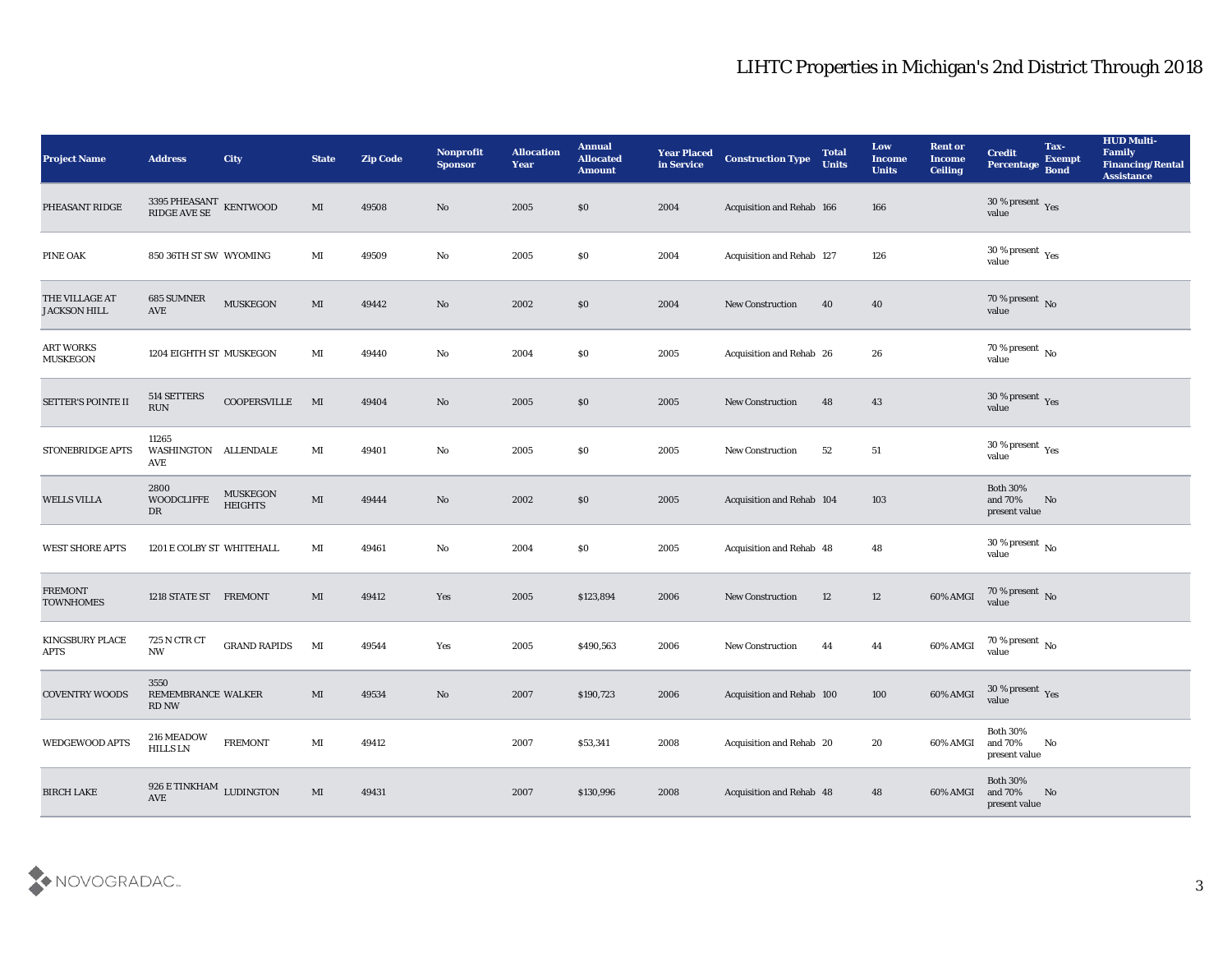| <b>Project Name</b>                   | <b>Address</b>                                       | City                              | <b>State</b>           | <b>Zip Code</b> | Nonprofit<br><b>Sponsor</b> | <b>Allocation</b><br><b>Year</b> | <b>Annual</b><br><b>Allocated</b><br><b>Amount</b> | <b>Year Placed</b><br>in Service | <b>Construction Type</b>  | <b>Total</b><br><b>Units</b> | Low<br><b>Income</b><br><b>Units</b> | <b>Rent or</b><br><b>Income</b><br><b>Ceiling</b> | <b>Credit</b><br>Percentage                    | Tax-<br><b>Exempt</b><br><b>Bond</b> | <b>HUD Multi-</b><br>Family<br><b>Financing/Rental</b><br><b>Assistance</b> |
|---------------------------------------|------------------------------------------------------|-----------------------------------|------------------------|-----------------|-----------------------------|----------------------------------|----------------------------------------------------|----------------------------------|---------------------------|------------------------------|--------------------------------------|---------------------------------------------------|------------------------------------------------|--------------------------------------|-----------------------------------------------------------------------------|
| PHEASANT RIDGE                        | $3395$ PHEASANT $\,$ KENTWOOD RIDGE AVE SE           |                                   | MI                     | 49508           | No                          | 2005                             | \$0                                                | 2004                             | Acquisition and Rehab 166 |                              | 166                                  |                                                   | $30\,\%$ present $\,$ Yes value                |                                      |                                                                             |
| PINE OAK                              | 850 36TH ST SW WYOMING                               |                                   | MI                     | 49509           | No                          | 2005                             | \$0                                                | 2004                             | Acquisition and Rehab 127 |                              | 126                                  |                                                   | 30 % present $\,\rm \gamma_{\rm es}$<br>value  |                                      |                                                                             |
| THE VILLAGE AT<br><b>JACKSON HILL</b> | <b>685 SUMNER</b><br>AVE                             | <b>MUSKEGON</b>                   | MI                     | 49442           | No                          | 2002                             | \$0                                                | 2004                             | New Construction          | 40                           | 40                                   |                                                   | 70 % present $\sqrt{\ }$ No<br>value           |                                      |                                                                             |
| <b>ART WORKS</b><br><b>MUSKEGON</b>   | 1204 EIGHTH ST MUSKEGON                              |                                   | $\mathbf{M}$ I         | 49440           | No                          | 2004                             | \$0                                                | 2005                             | Acquisition and Rehab 26  |                              | 26                                   |                                                   | $70\,\%$ present $\,$ No value                 |                                      |                                                                             |
| SETTER'S POINTE II                    | 514 SETTERS<br><b>RUN</b>                            | COOPERSVILLE                      | MI                     | 49404           | No                          | 2005                             | \$0                                                | 2005                             | <b>New Construction</b>   | 48                           | 43                                   |                                                   | $30\,\%$ present $\,$ Yes value                |                                      |                                                                             |
| STONEBRIDGE APTS                      | 11265<br>WASHINGTON ALLENDALE<br>AVE                 |                                   | MI                     | 49401           | No                          | 2005                             | \$0                                                | 2005                             | <b>New Construction</b>   | 52                           | 51                                   |                                                   | $30\,\%$ present $\,$ Yes value                |                                      |                                                                             |
| <b>WELLS VILLA</b>                    | 2800<br><b>WOODCLIFFE</b><br>DR                      | <b>MUSKEGON</b><br><b>HEIGHTS</b> | $\mathbf{M}\mathbf{I}$ | 49444           | No                          | 2002                             | \$0                                                | 2005                             | Acquisition and Rehab 104 |                              | 103                                  |                                                   | <b>Both 30%</b><br>and 70%<br>present value    | No                                   |                                                                             |
| <b>WEST SHORE APTS</b>                | 1201 E COLBY ST WHITEHALL                            |                                   | MI                     | 49461           | No                          | 2004                             | \$0                                                | 2005                             | Acquisition and Rehab 48  |                              | 48                                   |                                                   | 30 % present $\,$ No $\,$<br>value             |                                      |                                                                             |
| <b>FREMONT</b><br><b>TOWNHOMES</b>    | 1218 STATE ST FREMONT                                |                                   | MI                     | 49412           | Yes                         | 2005                             | \$123,894                                          | 2006                             | <b>New Construction</b>   | 12                           | 12                                   | 60% AMGI                                          | $70\,\%$ present $\,$ No value                 |                                      |                                                                             |
| KINGSBURY PLACE<br><b>APTS</b>        | 725 N CTR CT<br><b>NW</b>                            | <b>GRAND RAPIDS</b>               | $\mathbf{M}$           | 49544           | Yes                         | 2005                             | \$490,563                                          | 2006                             | <b>New Construction</b>   | 44                           | 44                                   | 60% AMGI                                          | $70\,\%$ present $\,$ No value                 |                                      |                                                                             |
| <b>COVENTRY WOODS</b>                 | 3550<br>REMEMBRANCE WALKER<br>RD NW                  |                                   | MI                     | 49534           | No                          | 2007                             | \$190,723                                          | 2006                             | Acquisition and Rehab 100 |                              | 100                                  | 60% AMGI                                          | 30 % present Yes<br>value                      |                                      |                                                                             |
| <b>WEDGEWOOD APTS</b>                 | 216 MEADOW<br><b>HILLS LN</b>                        | <b>FREMONT</b>                    | MI                     | 49412           |                             | 2007                             | \$53,341                                           | 2008                             | Acquisition and Rehab 20  |                              | 20                                   | 60% AMGI                                          | <b>Both 30%</b><br>and 70%<br>present value    | No                                   |                                                                             |
| <b>BIRCH LAKE</b>                     | $926\,\mathrm{E}\,\mathrm{TINKHAM}$ LUDINGTON<br>AVE |                                   | MI                     | 49431           |                             | 2007                             | \$130,996                                          | 2008                             | Acquisition and Rehab 48  |                              | 48                                   | 60% AMGI                                          | <b>Both 30%</b><br>and $70\%$<br>present value | N <sub>o</sub>                       |                                                                             |

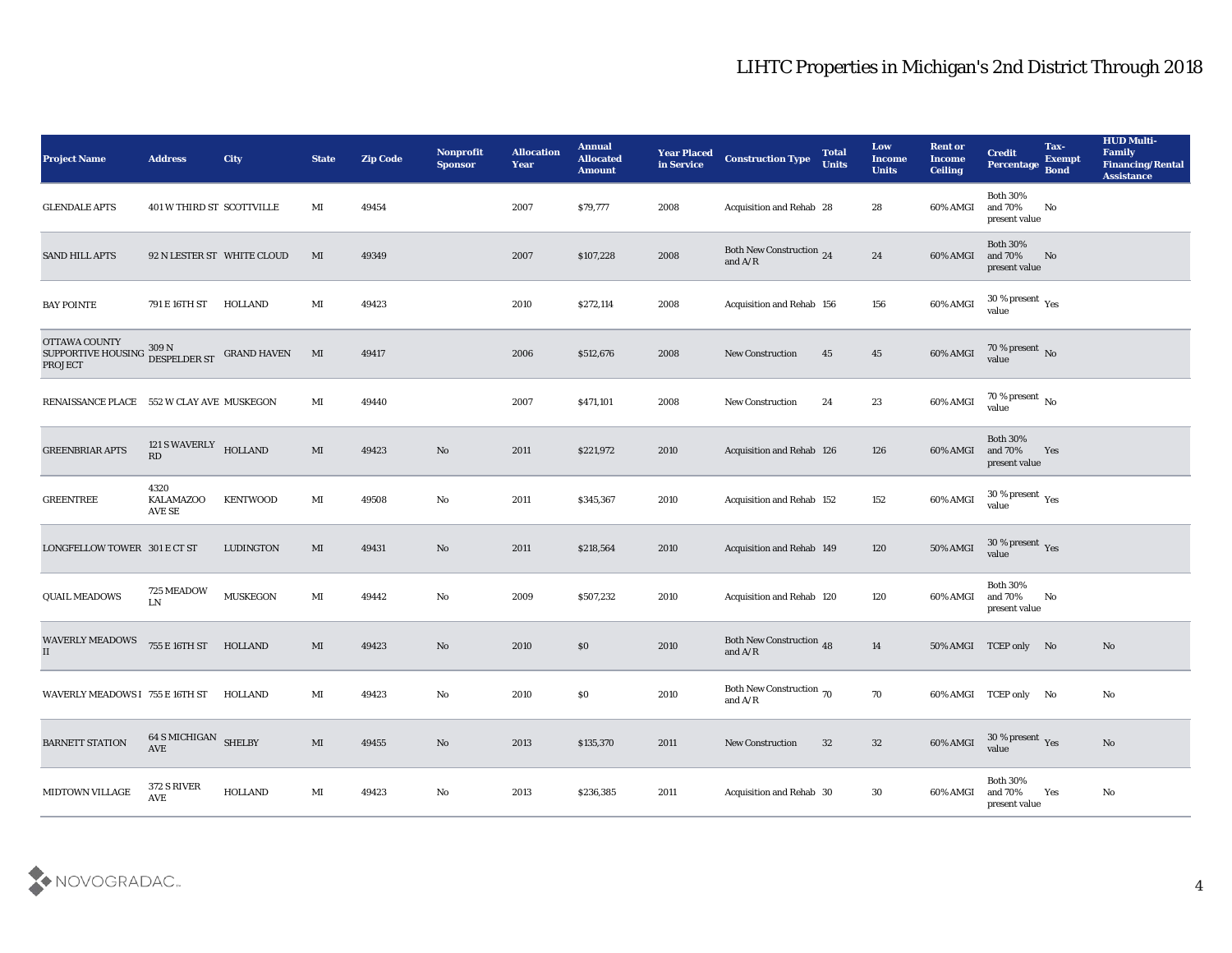| <b>Project Name</b>                                         | <b>Address</b>                               | City               | <b>State</b>           | <b>Zip Code</b> | Nonprofit<br><b>Sponsor</b> | <b>Allocation</b><br><b>Year</b> | <b>Annual</b><br><b>Allocated</b><br><b>Amount</b> | <b>Year Placed</b><br>in Service | <b>Construction Type</b>                                                          | <b>Total</b><br><b>Units</b> | Low<br><b>Income</b><br><b>Units</b> | <b>Rent or</b><br><b>Income</b><br><b>Ceiling</b> | <b>Credit</b><br>Percentage                    | Tax-<br><b>Exempt</b><br><b>Bond</b> | <b>HUD Multi-</b><br>Family<br><b>Financing/Rental</b><br><b>Assistance</b> |
|-------------------------------------------------------------|----------------------------------------------|--------------------|------------------------|-----------------|-----------------------------|----------------------------------|----------------------------------------------------|----------------------------------|-----------------------------------------------------------------------------------|------------------------------|--------------------------------------|---------------------------------------------------|------------------------------------------------|--------------------------------------|-----------------------------------------------------------------------------|
| <b>GLENDALE APTS</b>                                        | 401 W THIRD ST SCOTTVILLE                    |                    | MI                     | 49454           |                             | 2007                             | \$79,777                                           | 2008                             | Acquisition and Rehab 28                                                          |                              | 28                                   | 60% AMGI                                          | <b>Both 30%</b><br>and 70%<br>present value    | No                                   |                                                                             |
| <b>SAND HILL APTS</b>                                       | 92 N LESTER ST WHITE CLOUD                   |                    | MI                     | 49349           |                             | 2007                             | \$107,228                                          | 2008                             | Both New Construction 24<br>and $A/R$                                             |                              | 24                                   | 60% AMGI                                          | <b>Both 30%</b><br>and 70%<br>present value    | No                                   |                                                                             |
| <b>BAY POINTE</b>                                           | 791 E 16TH ST                                | <b>HOLLAND</b>     | MI                     | 49423           |                             | 2010                             | \$272,114                                          | 2008                             | Acquisition and Rehab 156                                                         |                              | 156                                  | 60% AMGI                                          | $30\,\%$ present $_{\hbox{Yes}}$<br>value      |                                      |                                                                             |
| OTTAWA COUNTY<br>SUPPORTIVE HOUSING 309 N<br><b>PROJECT</b> | DESPELDER ST                                 | <b>GRAND HAVEN</b> | $\mathbf{M}$           | 49417           |                             | 2006                             | \$512,676                                          | 2008                             | <b>New Construction</b>                                                           | 45                           | 45                                   | 60% AMGI                                          | $70\,\%$ present $\,$ No value                 |                                      |                                                                             |
| RENAISSANCE PLACE 552 W CLAY AVE MUSKEGON                   |                                              |                    | MI                     | 49440           |                             | 2007                             | \$471,101                                          | 2008                             | <b>New Construction</b>                                                           | 24                           | 23                                   | 60% AMGI                                          | 70 % present $\,$ No $\,$<br>value             |                                      |                                                                             |
| <b>GREENBRIAR APTS</b>                                      | 121 S WAVERLY HOLLAND<br>RD                  |                    | MI                     | 49423           | No                          | 2011                             | \$221,972                                          | 2010                             | Acquisition and Rehab 126                                                         |                              | 126                                  | 60% AMGI                                          | <b>Both 30%</b><br>and 70%<br>present value    | Yes                                  |                                                                             |
| <b>GREENTREE</b>                                            | 4320<br><b>KALAMAZOO</b><br>AVE SE           | <b>KENTWOOD</b>    | MI                     | 49508           | No                          | 2011                             | \$345,367                                          | 2010                             | Acquisition and Rehab 152                                                         |                              | 152                                  | 60% AMGI                                          | $30\,\%$ present $\,$ Yes value                |                                      |                                                                             |
| LONGFELLOW TOWER 301 E CT ST                                |                                              | LUDINGTON          | MI                     | 49431           | No                          | 2011                             | \$218,564                                          | 2010                             | Acquisition and Rehab 149                                                         |                              | 120                                  | 50% AMGI                                          | 30 % present Yes<br>value                      |                                      |                                                                             |
| <b>QUAIL MEADOWS</b>                                        | 725 MEADOW<br>LN                             | <b>MUSKEGON</b>    | $\mathbf{M}$ I         | 49442           | No                          | 2009                             | \$507,232                                          | 2010                             | Acquisition and Rehab 120                                                         |                              | 120                                  | 60% AMGI                                          | <b>Both 30%</b><br>and $70\%$<br>present value | No                                   |                                                                             |
| <b>WAVERLY MEADOWS</b><br>II                                | 755 E 16TH ST                                | HOLLAND            | MI                     | 49423           | No                          | 2010                             | \$0                                                | 2010                             | Both New Construction 48<br>and $\ensuremath{\mathrm{A}}/\ensuremath{\mathrm{R}}$ |                              | 14                                   |                                                   | 50% AMGI TCEP only No                          |                                      | No                                                                          |
| WAVERLY MEADOWS I 755 E 16TH ST                             |                                              | HOLLAND            | MI                     | 49423           | No                          | 2010                             | \$0\$                                              | 2010                             | Both New Construction 70<br>and $A/R$                                             |                              | 70                                   |                                                   | 60% AMGI TCEP only No                          |                                      | No                                                                          |
| <b>BARNETT STATION</b>                                      | <b>64 S MICHIGAN SHELBY</b><br>AVE           |                    | $\mathbf{M}\mathbf{I}$ | 49455           | $\rm\thinspace No$          | 2013                             | \$135,370                                          | 2011                             | New Construction                                                                  | 32                           | $32\,$                               | 60% AMGI                                          | $30\,\%$ present $\,$ Yes value                |                                      | $\mathbf{N}\mathbf{o}$                                                      |
| MIDTOWN VILLAGE                                             | 372 S RIVER<br>$\operatorname{\mathsf{AVE}}$ | <b>HOLLAND</b>     | $\mathbf{M}$ I         | 49423           | $\rm\thinspace No$          | 2013                             | \$236,385                                          | 2011                             | Acquisition and Rehab 30                                                          |                              | 30                                   | 60% AMGI                                          | <b>Both 30%</b><br>and $70\%$<br>present value | Yes                                  | $\mathbf{N}\mathbf{o}$                                                      |

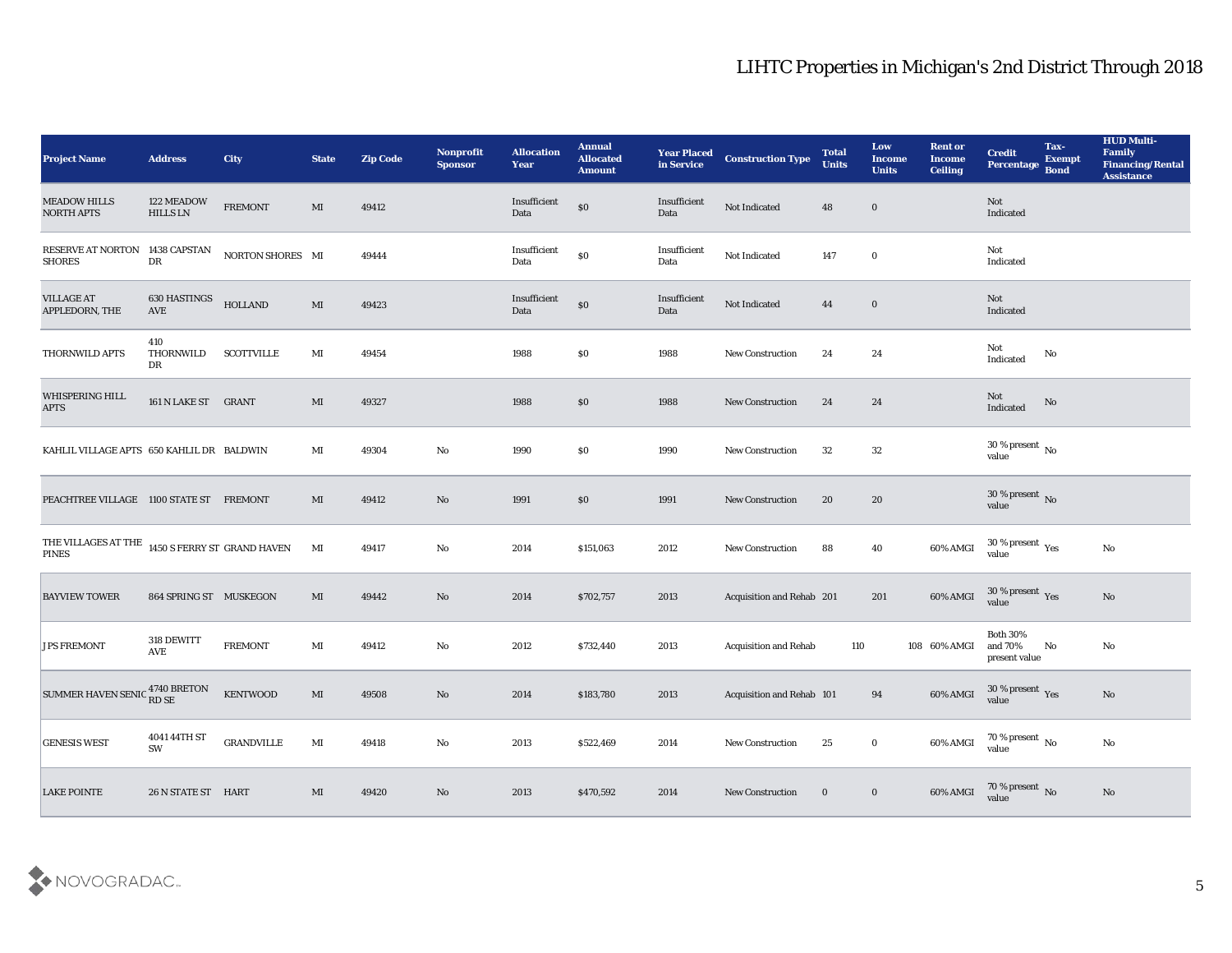| <b>Project Name</b>                                                       | <b>Address</b>         | City              | <b>State</b>           | <b>Zip Code</b> | Nonprofit<br><b>Sponsor</b> | <b>Allocation</b><br><b>Year</b> | <b>Annual</b><br><b>Allocated</b><br><b>Amount</b> | <b>Year Placed</b><br>in Service | <b>Construction Type</b>     | <b>Total</b><br><b>Units</b> | Low<br><b>Income</b><br><b>Units</b> | <b>Rent or</b><br><b>Income</b><br><b>Ceiling</b> | <b>Credit</b><br>Percentage Bond                     | Tax-<br><b>Exempt</b> | <b>HUD Multi-</b><br>Family<br><b>Financing/Rental</b><br><b>Assistance</b> |
|---------------------------------------------------------------------------|------------------------|-------------------|------------------------|-----------------|-----------------------------|----------------------------------|----------------------------------------------------|----------------------------------|------------------------------|------------------------------|--------------------------------------|---------------------------------------------------|------------------------------------------------------|-----------------------|-----------------------------------------------------------------------------|
| <b>MEADOW HILLS</b><br><b>NORTH APTS</b>                                  | 122 MEADOW<br>HILLS LN | <b>FREMONT</b>    | MI                     | 49412           |                             | Insufficient<br>Data             | $\$0$                                              | Insufficient<br>Data             | Not Indicated                | 48                           | $\bf{0}$                             |                                                   | Not<br>Indicated                                     |                       |                                                                             |
| RESERVE AT NORTON 1438 CAPSTAN<br><b>SHORES</b>                           | ${\rm D}{\rm R}$       | NORTON SHORES MI  |                        | 49444           |                             | Insufficient<br>Data             | $\$0$                                              | Insufficient<br>Data             | Not Indicated                | 147                          | $\bf{0}$                             |                                                   | Not<br>Indicated                                     |                       |                                                                             |
| <b>VILLAGE AT</b><br>APPLEDORN, THE                                       | 630 HASTINGS<br>AVE    | <b>HOLLAND</b>    | $\mathbf{M}$           | 49423           |                             | Insufficient<br>Data             | $\$0$                                              | Insufficient<br>Data             | Not Indicated                | 44                           | $\bf{0}$                             |                                                   | Not<br>Indicated                                     |                       |                                                                             |
| THORNWILD APTS                                                            | 410<br>THORNWILD<br>DR | <b>SCOTTVILLE</b> | MI                     | 49454           |                             | 1988                             | \$0                                                | 1988                             | New Construction             | 24                           | 24                                   |                                                   | Not<br>Indicated                                     | No                    |                                                                             |
| WHISPERING HILL<br>$\rm APTS$                                             | 161 N LAKE ST GRANT    |                   | MI                     | 49327           |                             | 1988                             | \$0                                                | 1988                             | <b>New Construction</b>      | 24                           | 24                                   |                                                   | Not<br>Indicated                                     | No                    |                                                                             |
| KAHLIL VILLAGE APTS 650 KAHLIL DR BALDWIN                                 |                        |                   | MI                     | 49304           | No                          | 1990                             | \$0                                                | 1990                             | <b>New Construction</b>      | 32                           | 32                                   |                                                   | $30\,\%$ present $\,$ No value                       |                       |                                                                             |
| PEACHTREE VILLAGE 1100 STATE ST FREMONT                                   |                        |                   | MI                     | 49412           | No                          | 1991                             | \$0                                                | 1991                             | <b>New Construction</b>      | 20                           | 20                                   |                                                   | $30\,\%$ present $\,$ No value                       |                       |                                                                             |
| THE VILLAGES AT THE $\,$ 1450 S FERRY ST $\,$ GRAND HAVEN<br><b>PINES</b> |                        |                   | MI                     | 49417           | No                          | 2014                             | \$151,063                                          | 2012                             | <b>New Construction</b>      | 88                           | 40                                   | 60% AMGI                                          | 30 % present $\rm\thinspace\gamma_{\rm es}$<br>value |                       | No                                                                          |
| <b>BAYVIEW TOWER</b>                                                      | 864 SPRING ST MUSKEGON |                   | MI                     | 49442           | No                          | 2014                             | \$702,757                                          | 2013                             | Acquisition and Rehab 201    |                              | 201                                  | 60% AMGI                                          | $30\,\%$ present $\,$ Yes value                      |                       | No                                                                          |
| <b>JPS FREMONT</b>                                                        | 318 DEWITT<br>AVE      | <b>FREMONT</b>    | MI                     | 49412           | No                          | 2012                             | \$732,440                                          | 2013                             | <b>Acquisition and Rehab</b> | 110                          |                                      | 108 60% AMGI                                      | Both $30\%$<br>and $70\%$<br>present value           | No                    | No                                                                          |
| SUMMER HAVEN SENIC <sup>4740</sup> BRETON<br>RD SE                        |                        | <b>KENTWOOD</b>   | MI                     | 49508           | No                          | 2014                             | \$183,780                                          | 2013                             | Acquisition and Rehab 101    |                              | 94                                   | 60% AMGI                                          | 30 % present $_{\rm Yes}$<br>value                   |                       | No                                                                          |
| <b>GENESIS WEST</b>                                                       | 4041 44TH ST<br>SW     | <b>GRANDVILLE</b> | $\mathbf{M}\mathbf{I}$ | 49418           | $\rm\thinspace No$          | 2013                             | \$522,469                                          | 2014                             | New Construction             | 25                           | $\mathbf 0$                          | 60% AMGI                                          | $70\,\%$ present $\,$ No value                       |                       | $\mathbf {No}$                                                              |
| <b>LAKE POINTE</b>                                                        | 26 N STATE ST HART     |                   | MI                     | 49420           | $\rm \bf No$                | 2013                             | \$470,592                                          | 2014                             | <b>New Construction</b>      | $\bf{0}$                     | $\bf{0}$                             | 60% AMGI                                          | $70\,\%$ present $\,$ No value                       |                       | $\rm\thinspace No$                                                          |

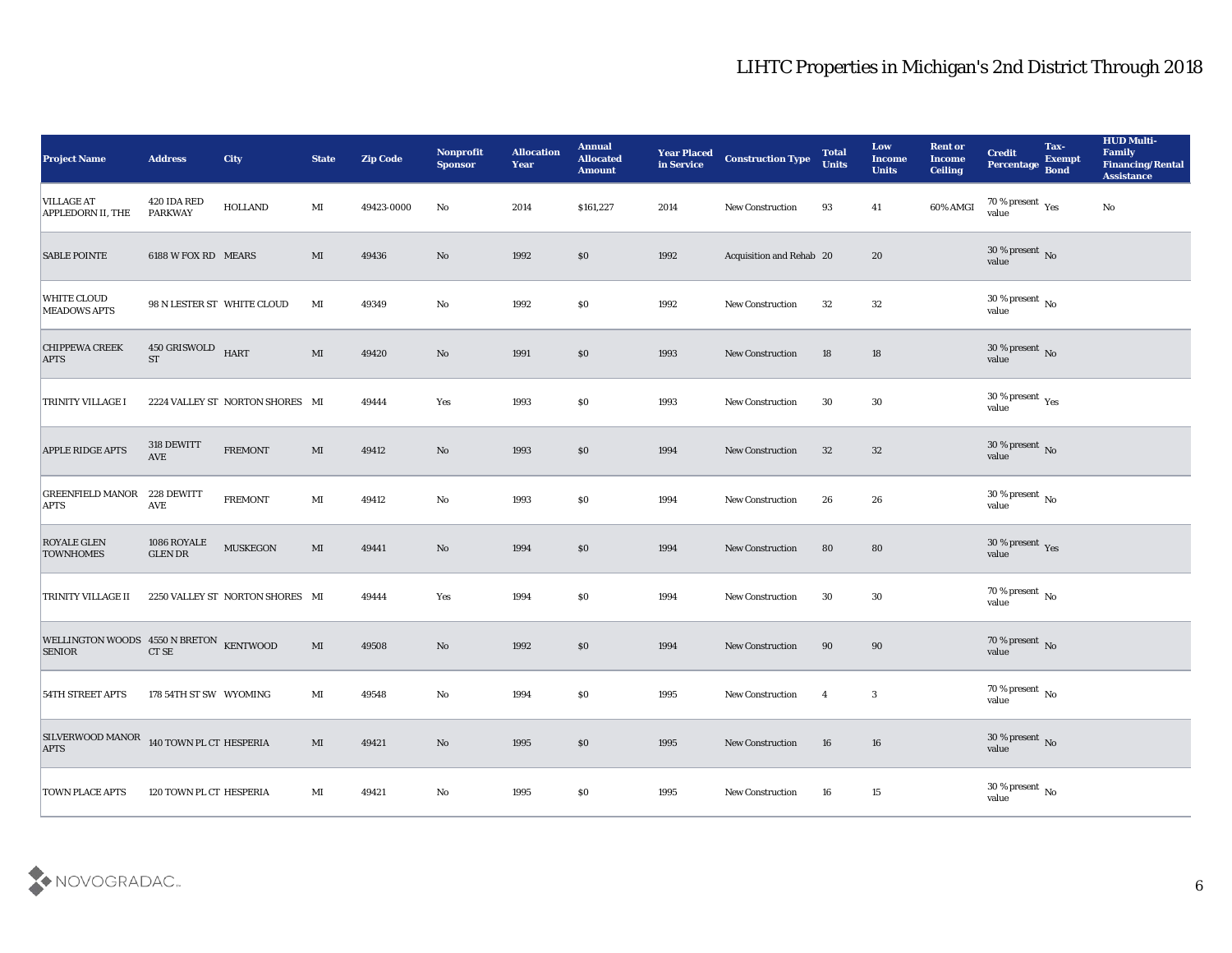| <b>Project Name</b>                                                                                                                           | <b>Address</b>                 | City                            | <b>State</b>           | <b>Zip Code</b> | Nonprofit<br><b>Sponsor</b> | <b>Allocation</b><br><b>Year</b> | <b>Annual</b><br><b>Allocated</b><br><b>Amount</b> | <b>Year Placed<br/>in Service</b> | <b>Construction Type</b> | <b>Total</b><br><b>Units</b> | Low<br><b>Income</b><br><b>Units</b> | <b>Rent or</b><br><b>Income</b><br><b>Ceiling</b> | <b>Credit</b><br>Percentage            | Tax-<br><b>Exempt</b><br><b>Bond</b> | <b>HUD Multi-</b><br>Family<br><b>Financing/Rental</b><br><b>Assistance</b> |
|-----------------------------------------------------------------------------------------------------------------------------------------------|--------------------------------|---------------------------------|------------------------|-----------------|-----------------------------|----------------------------------|----------------------------------------------------|-----------------------------------|--------------------------|------------------------------|--------------------------------------|---------------------------------------------------|----------------------------------------|--------------------------------------|-----------------------------------------------------------------------------|
| <b>VILLAGE AT</b><br>APPLEDORN II, THE                                                                                                        | 420 IDA RED<br><b>PARKWAY</b>  | <b>HOLLAND</b>                  | MI                     | 49423-0000      | No                          | 2014                             | \$161,227                                          | 2014                              | New Construction         | 93                           | 41                                   | 60% AMGI                                          | $70\,\%$ present $\,$ Yes value        |                                      | $\mathbf{N}\mathbf{o}$                                                      |
| <b>SABLE POINTE</b>                                                                                                                           | 6188 W FOX RD MEARS            |                                 | MI                     | 49436           | $\mathbf{N}\mathbf{o}$      | 1992                             | \$0\$                                              | 1992                              | Acquisition and Rehab 20 |                              | 20                                   |                                                   | $30\,\%$ present $\,$ No $\,$<br>value |                                      |                                                                             |
| <b>WHITE CLOUD</b><br><b>MEADOWS APTS</b>                                                                                                     |                                | 98 N LESTER ST WHITE CLOUD      | MI                     | 49349           | No                          | 1992                             | \$0\$                                              | 1992                              | <b>New Construction</b>  | 32                           | 32                                   |                                                   | $30\,\%$ present $\,$ No value         |                                      |                                                                             |
| <b>CHIPPEWA CREEK</b><br><b>APTS</b>                                                                                                          | 450 GRISWOLD HART<br><b>ST</b> |                                 | $\mathbf{M}$           | 49420           | No                          | 1991                             | \$0\$                                              | 1993                              | <b>New Construction</b>  | 18                           | 18                                   |                                                   | $30\,\%$ present $\,$ No value         |                                      |                                                                             |
| <b>TRINITY VILLAGE I</b>                                                                                                                      |                                | 2224 VALLEY ST NORTON SHORES MI |                        | 49444           | Yes                         | 1993                             | \$0\$                                              | 1993                              | <b>New Construction</b>  | 30                           | 30                                   |                                                   | $30\,\%$ present $\,$ Yes value        |                                      |                                                                             |
| <b>APPLE RIDGE APTS</b>                                                                                                                       | 318 DEWITT<br>AVE              | <b>FREMONT</b>                  | $\mathbf{M}$           | 49412           | $\mathbf{N}\mathbf{o}$      | 1993                             | \$0\$                                              | 1994                              | <b>New Construction</b>  | 32                           | 32                                   |                                                   | $30\,\%$ present $\,$ No value         |                                      |                                                                             |
| <b>GREENFIELD MANOR 228 DEWITT</b><br><b>APTS</b>                                                                                             | <b>AVE</b>                     | <b>FREMONT</b>                  | MI                     | 49412           | No                          | 1993                             | $\$0$                                              | 1994                              | <b>New Construction</b>  | 26                           | 26                                   |                                                   | $30\,\%$ present $\,$ No value         |                                      |                                                                             |
| <b>ROYALE GLEN</b><br><b>TOWNHOMES</b>                                                                                                        | 1086 ROYALE<br><b>GLEN DR</b>  | <b>MUSKEGON</b>                 | $\mathbf{M}\mathbf{I}$ | 49441           | $\mathbf{N}\mathbf{o}$      | 1994                             | \$0\$                                              | 1994                              | <b>New Construction</b>  | 80                           | 80                                   |                                                   | $30\,\%$ present $\,$ Yes value        |                                      |                                                                             |
| <b>TRINITY VILLAGE II</b>                                                                                                                     |                                | 2250 VALLEY ST NORTON SHORES MI |                        | 49444           | Yes                         | 1994                             | \$0\$                                              | 1994                              | <b>New Construction</b>  | 30                           | 30                                   |                                                   | $70\,\%$ present $\,$ No value         |                                      |                                                                             |
| $\begin{array}{lll} \textbf{WELLINGTON WOODS} & \textbf{4550 N BRETON} & \textbf{KENTWOOD} \\ \textbf{SENIOR} & \textbf{CT SE} & \end{array}$ |                                |                                 | MI                     | 49508           | $\mathbf{N}\mathbf{o}$      | 1992                             | $\$0$                                              | 1994                              | <b>New Construction</b>  | 90                           | 90                                   |                                                   | $70\,\%$ present $\,$ No value         |                                      |                                                                             |
| <b>54TH STREET APTS</b>                                                                                                                       | 178 54TH ST SW WYOMING         |                                 | MI                     | 49548           | No                          | 1994                             | \$0\$                                              | 1995                              | <b>New Construction</b>  | $\overline{4}$               | 3                                    |                                                   | 70 % present $\,$ No $\,$<br>value     |                                      |                                                                             |
| SILVERWOOD MANOR $\,$ 140 TOWN PL CT HESPERIA APTS                                                                                            |                                |                                 | $\mathbf{M}\mathbf{I}$ | 49421           | $\mathbf{N}\mathbf{o}$      | 1995                             | $\boldsymbol{\mathsf{S}}\boldsymbol{\mathsf{0}}$   | 1995                              | <b>New Construction</b>  | 16                           | 16                                   |                                                   | $30\,\%$ present $\,$ No value         |                                      |                                                                             |
| <b>TOWN PLACE APTS</b>                                                                                                                        | 120 TOWN PL CT HESPERIA        |                                 | $\mathbf{M}\mathbf{I}$ | 49421           | $\mathbf {No}$              | 1995                             | \$0                                                | 1995                              | New Construction         | 16                           | $15\,$                               |                                                   | $30\,\%$ present $\,$ No value         |                                      |                                                                             |